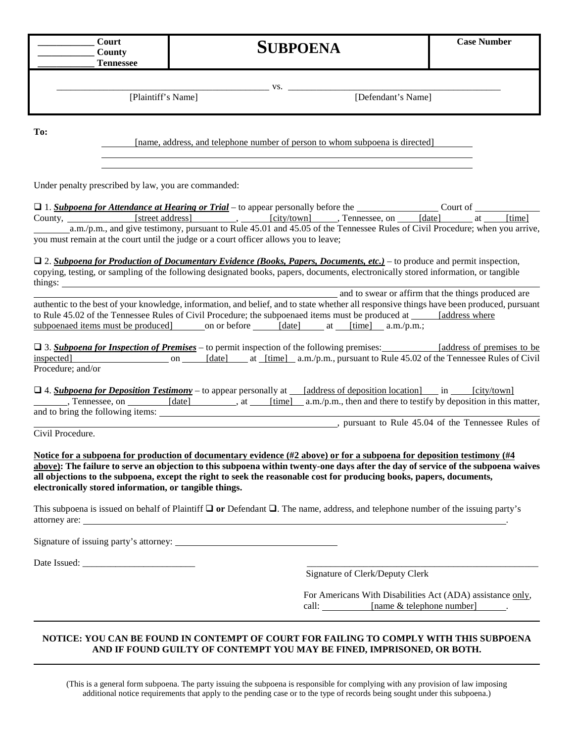| ∴our†    |                 | <b>Case Number</b> |
|----------|-----------------|--------------------|
| ∠ountv   | <b>SUBPOENA</b> |                    |
| ennessee |                 |                    |

[Plaintiff's Name] [Defendant's Name]

**To:**

[name, address, and telephone number of person to whom subpoena is directed]

\_\_\_\_\_\_\_\_\_\_\_\_\_\_\_\_\_\_\_\_\_\_\_\_\_\_\_\_\_\_\_\_\_\_\_\_\_\_\_\_\_\_\_\_\_ vs. \_\_\_\_\_\_\_\_\_\_\_\_\_\_\_\_\_\_\_\_\_\_\_\_\_\_\_\_\_\_\_\_\_\_\_\_\_\_\_\_\_\_\_\_\_

Under penalty prescribed by law, you are commanded:

| $\Box$ 1. Subpoena for Attendance at Hearing or Trial – to appear personally before the | Court of                                                                                                                    |             |               |        |  |        |
|-----------------------------------------------------------------------------------------|-----------------------------------------------------------------------------------------------------------------------------|-------------|---------------|--------|--|--------|
| County,                                                                                 | [street address]                                                                                                            | [city/town] | Tennessee, on | [date] |  | [time] |
|                                                                                         | a.m./p.m., and give testimony, pursuant to Rule 45.01 and 45.05 of the Tennessee Rules of Civil Procedure; when you arrive, |             |               |        |  |        |
|                                                                                         | you must remain at the court until the judge or a court officer allows you to leave;                                        |             |               |        |  |        |

 2. *Subpoena for Production of Documentary Evidence (Books, Papers, Documents, etc.)* – to produce and permit inspection, copying, testing, or sampling of the following designated books, papers, documents, electronically stored information, or tangible things:

and to swear or affirm that the things produced are authentic to the best of your knowledge, information, and belief, and to state whether all responsive things have been produced, pursuant to Rule 45.02 of the Tennessee Rules of Civil Procedure; the subpoenaed items must be produced at [address where subpoenaed items must be produced on or before  $\left[$  date  $\right]$  at  $\left[$  time $\right]$  a.m./p.m.;

 3. *Subpoena for Inspection of Premises* – to permit inspection of the following premises: [address of premises to be inspected] on [date] at [time] a.m./p.m., pursuant to Rule 45.02 of the Tennessee Rules of Civil Procedure; and/or

 $\Box$  4. **Subpoena for Deposition Testimony** – to appear personally at [address of deposition location] in [city/town] , Tennessee, on [date] , at [time] a.m./p.m., then and there to testify by deposition in this matter, and to bring the following items: 

Civil Procedure.

**Notice for a subpoena for production of documentary evidence (#2 above) or for a subpoena for deposition testimony (#4 above): The failure to serve an objection to this subpoena within twenty-one days after the day of service of the subpoena waives all objections to the subpoena, except the right to seek the reasonable cost for producing books, papers, documents, electronically stored information, or tangible things.**

This subpoena is issued on behalf of Plaintiff  $\Box$  or Defendant  $\Box$ . The name, address, and telephone number of the issuing party's attorney are: .

Signature of issuing party's attorney:

Date Issued: \_\_\_\_\_\_\_\_\_\_\_\_\_\_\_\_\_\_\_\_\_\_\_\_ \_\_\_\_\_\_\_\_\_\_\_\_\_\_\_\_\_\_\_\_\_\_\_\_\_\_\_\_\_\_\_\_\_\_\_\_\_\_\_\_\_\_\_\_\_\_\_\_\_

Signature of Clerk/Deputy Clerk

, pursuant to Rule 45.04 of the Tennessee Rules of

For Americans With Disabilities Act (ADA) assistance only, call: [name & telephone number] .

## **NOTICE: YOU CAN BE FOUND IN CONTEMPT OF COURT FOR FAILING TO COMPLY WITH THIS SUBPOENA AND IF FOUND GUILTY OF CONTEMPT YOU MAY BE FINED, IMPRISONED, OR BOTH.**

(This is a general form subpoena. The party issuing the subpoena is responsible for complying with any provision of law imposing additional notice requirements that apply to the pending case or to the type of records being sought under this subpoena.)